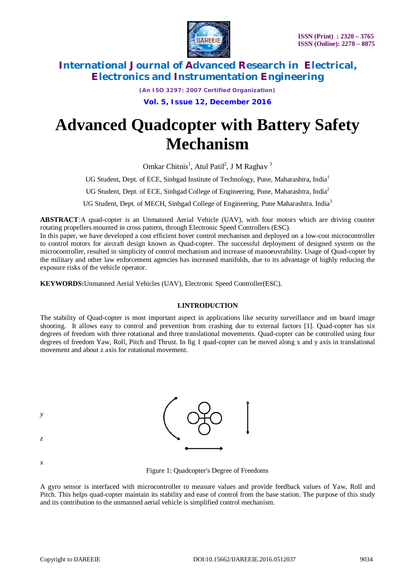

*(An ISO 3297: 2007 Certified Organization)*

**Vol. 5, Issue 12, December 2016**

# **Advanced Quadcopter with Battery Safety Mechanism**

Omkar Chitnis<sup>1</sup>, Atul Patil<sup>2</sup>, J M Raghav<sup>3</sup>

UG Student, Dept. of ECE, Sinhgad Institute of Technology, Pune, Maharashtra, India<sup>1</sup>

UG Student, Dept. of ECE, Sinhgad College of Engineering, Pune, Maharashtra, India<sup>2</sup>

UG Student, Dept. of MECH, Sinhgad College of Engineering, Pune Maharashtra. India<sup>3</sup>

**ABSTRACT***:*A quad-copter is an Unmanned Aerial Vehicle (UAV), with four motors which are driving counter rotating propellers mounted in cross pattern, through Electronic Speed Controllers (ESC).

In this paper, we have developed a cost efficient hover control mechanism and deployed on a low-cost microcontroller to control motors for aircraft design known as Quad-copter. The successful deployment of designed system on the microcontroller, resulted in simplicity of control mechanism and increase of manoeuvrability. Usage of Quad-copter by the military and other law enforcement agencies has increased manifolds, due to its advantage of highly reducing the exposure risks of the vehicle operator.

**KEYWORDS:**Unmanned Aerial Vehicles (UAV), Electronic Speed Controller(ESC).

## **I.INTRODUCTION**

The stability of Quad-copter is most important aspect in applications like security surveillance and on board image shooting. It allows easy to control and prevention from crashing due to external factors [1]. Quad-copter has six degrees of freedom with three rotational and three translational movements. Quad-copter can be controlled using four degrees of freedom Yaw, Roll, Pitch and Thrust. In fig 1 quad-copter can be moved along x and y axis in translational movement and about z axis for rotational movement.



*x*

Figure 1: Quadcopter's Degree of Freedoms

A gyro sensor is interfaced with microcontroller to measure values and provide feedback values of Yaw, Roll and Pitch. This helps quad-copter maintain its stability and ease of control from the base station. The purpose of this study and its contribution to the unmanned aerial vehicle is simplified control mechanism.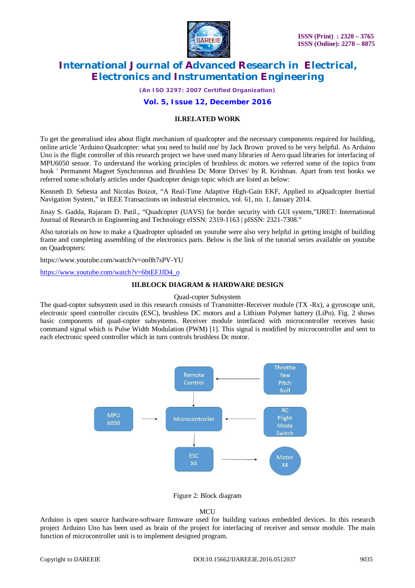

*(An ISO 3297: 2007 Certified Organization)*

# **Vol. 5, Issue 12, December 2016**

# **II.RELATED WORK**

To get the generalised idea about flight mechanism of quadcopter and the necessary components required for building, online article 'Arduino Quadcopter: what you need to build one' by Jack Brown proved to be very helpful. As Arduino Uno is the flight controller of this research project we have used many libraries of Aero quad libraries for interfacing of MPU6050 sensor. To understand the working principles of brushless dc motors we referred some of the topics from book ' Permanent Magnet Synchronous and Brushless Dc Motor Drives' by R. Krishnan. Apart from text books we referred some scholarly articles under Quadcopter design topic which are listed as below:

Kenneth D. Sebesta and Nicolas Boizot, "A Real-Time Adaptive High-Gain EKF, Applied to aQuadcopter Inertial Navigation System," in IEEE Transactions on industrial electronics, vol. 61, no. 1, January 2014.

Jinay S. Gadda, Rajaram D. Patil., "Quadcopter (UAVS) for border security with GUI system,"IJRET: International Journal of Research in Engineering and Technology eISSN: 2319-1163 | pISSN: 2321-7308."

Also tutorials on how to make a Quadropter uploaded on youtube were also very helpful in getting insight of building frame and completing assembling of the electronics parts. Below is the link of the tutorial series available on youtube on Quadropters:

<https://www.youtube.com/watch?v=on0h7sPV-YU>

[https://www.youtube.com/watch?v=6btEFJJD4\\_o](https://www.youtube.com/watch?v=6btEFJJD4_o)

#### **III.BLOCK DIAGRAM & HARDWARE DESIGN**

Quad-copter Subsystem

The quad-copter subsystem used in this research consists of Transmitter-Receiver module (TX -Rx), a gyroscope unit, electronic speed controller circuits (ESC), brushless DC motors and a Lithium Polymer battery (LiPo). Fig. 2 shows basic components of quad-copter subsystems. Receiver module interfaced with microcontroller receives basic command signal which is Pulse Width Modulation (PWM) [1]. This signal is modified by microcontroller and sent to each electronic speed controller which in turn controls brushless Dc motor.



Figure 2: Block diagram

#### **MCU**

Arduino is open source hardware-software firmware used for building various embedded devices. In this research project Arduino Uno has been used as brain of the project for interfacing of receiver and sensor module. The main function of microcontroller unit is to implement designed program.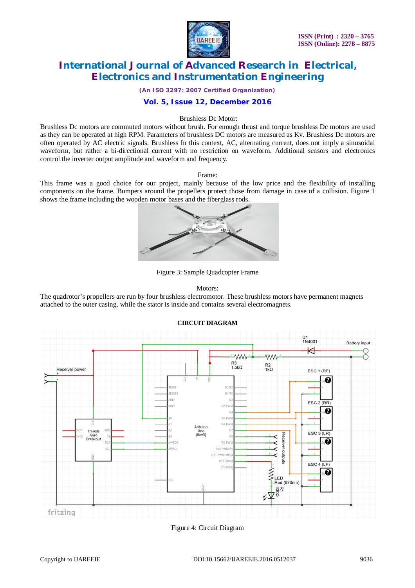

*(An ISO 3297: 2007 Certified Organization)*

# **Vol. 5, Issue 12, December 2016**

#### Brushless Dc Motor:

Brushless Dc motors are commuted motors without brush. For enough thrust and torque brushless Dc motors are used as they can be operated at high RPM. Parameters of brushless DC motors are measured as Kv. Brushless Dc motors are often operated by AC electric signals. Brushless In this context, AC, alternating current, does not imply a sinusoidal waveform, but rather a bi-directional current with no restriction on waveform. Additional sensors and electronics control the inverter output amplitude and waveform and frequency.

#### Frame:

This frame was a good choice for our project, mainly because of the low price and the flexibility of installing components on the frame. Bumpers around the propellers protect those from damage in case of a collision. Figure 1 shows the frame including the wooden motor bases and the fiberglass rods.



Figure 3: Sample Quadcopter Frame

#### Motors:

The quadrotor's propellers are run by four brushless electromotor. These brushless motors have permanent magnets attached to the outer casing, while the stator is inside and contains several electromagnets.



## **CIRCUIT DIAGRAM**

Figure 4: Circuit Diagram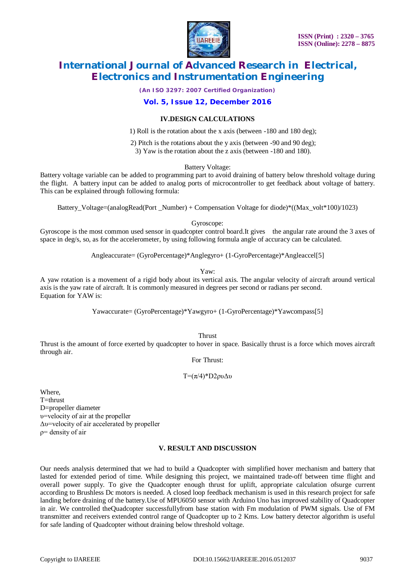

*(An ISO 3297: 2007 Certified Organization)*

# **Vol. 5, Issue 12, December 2016**

## **IV.DESIGN CALCULATIONS**

1) Roll is the rotation about the x axis (between -180 and 180 deg);

2) Pitch is the rotations about the y axis (between -90 and 90 deg);

3) Yaw is the rotation about the z axis (between -180 and 180).

Battery Voltage:

Battery voltage variable can be added to programming part to avoid draining of battery below threshold voltage during the flight. A battery input can be added to analog ports of microcontroller to get feedback about voltage of battery. This can be explained through following formula:

Battery Voltage=(analogRead(Port Number) + Compensation Voltage for diode)\*((Max volt\*100)/1023)

Gyroscope:

Gyroscope is the most common used sensor in quadcopter control board.It gives the angular rate around the 3 axes of space in deg/s, so, as for the accelerometer, by using following formula angle of accuracy can be calculated.

Angleaccurate= (GyroPercentage)\*Anglegyro+ (1-GyroPercentage)\*Angleaccel[5]

Yaw:

A yaw rotation is a movement of a rigid body about its vertical axis. The angular velocity of aircraft around vertical axis is the yaw rate of aircraft. It is commonly measured in degrees per second or radians per second. Equation for YAW is:

Yawaccurate= (GyroPercentage)\*Yawgyro+ (1-GyroPercentage)\*Yawcompass[5]

**Thrust** 

Thrust is the amount of force exerted by quadcopter to hover in space. Basically thrust is a force which moves aircraft through air.

For Thrust:

T=(π/4)\*D2ρυΔυ

Where, T=thrust D=propeller diameter υ=velocity of air at the propeller Δυ=velocity of air accelerated by propeller ρ= density of air

## **V. RESULT AND DISCUSSION**

Our needs analysis determined that we had to build a Quadcopter with simplified hover mechanism and battery that lasted for extended period of time. While designing this project, we maintained trade-off between time flight and overall power supply. To give the Quadcopter enough thrust for uplift, appropriate calculation ofsurge current according to Brushless Dc motors is needed. A closed loop feedback mechanism is used in this research project for safe landing before draining of the battery.Use of MPU6050 sensor with Arduino Uno has improved stability of Quadcopter in air. We controlled theQuadcopter successfullyfrom base station with Fm modulation of PWM signals. Use of FM transmitter and receivers extended control range of Quadcopter up to 2 Kms. Low battery detector algorithm is useful for safe landing of Quadcopter without draining below threshold voltage.